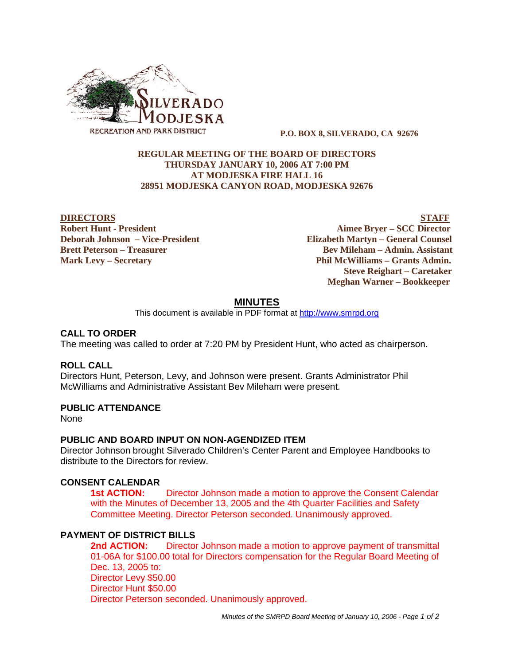

#### **P.O. BOX 8, SILVERADO, CA 92676**

## **REGULAR MEETING OF THE BOARD OF DIRECTORS THURSDAY JANUARY 10, 2006 AT 7:00 PM AT MODJESKA FIRE HALL 16 28951 MODJESKA CANYON ROAD, MODJESKA 92676**

**DIRECTORS** STAFF **Robert Hunt - President Aimee Bryer – SCC Director Deborah Johnson – Vice-President Elizabeth Martyn – General Counsel Brett Peterson – Treasurer States and Bev Mileham – Admin. Assistant Mark Levy – Secretary Phil McWilliams – Grants Admin. Steve Reighart – Caretaker Meghan Warner – Bookkeeper**

## **MINUTES**

This document is available in PDF format at http://www.smrpd.org

## **CALL TO ORDER**

The meeting was called to order at 7:20 PM by President Hunt, who acted as chairperson.

## **ROLL CALL**

Directors Hunt, Peterson, Levy, and Johnson were present. Grants Administrator Phil McWilliams and Administrative Assistant Bev Mileham were present.

# **PUBLIC ATTENDANCE**

None

#### **PUBLIC AND BOARD INPUT ON NON-AGENDIZED ITEM**

Director Johnson brought Silverado Children's Center Parent and Employee Handbooks to distribute to the Directors for review.

## **CONSENT CALENDAR**

**1st ACTION:** Director Johnson made a motion to approve the Consent Calendar with the Minutes of December 13, 2005 and the 4th Quarter Facilities and Safety Committee Meeting. Director Peterson seconded. Unanimously approved.

# **PAYMENT OF DISTRICT BILLS**

**2nd ACTION:** Director Johnson made a motion to approve payment of transmittal 01-06A for \$100.00 total for Directors compensation for the Regular Board Meeting of Dec. 13, 2005 to: Director Levy \$50.00 Director Hunt \$50.00 Director Peterson seconded. Unanimously approved.